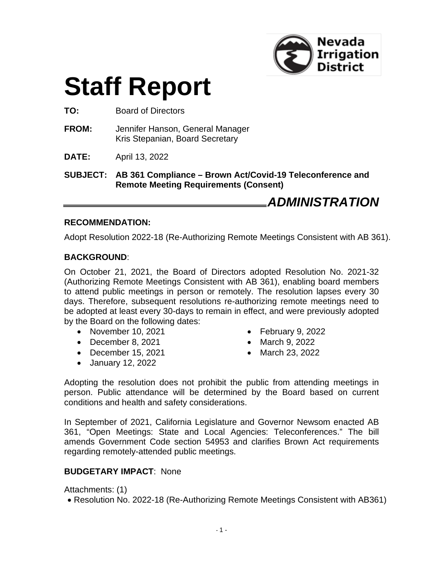

# **Staff Report**

**TO:** Board of Directors

- **FROM:** Jennifer Hanson, General Manager Kris Stepanian, Board Secretary
- **DATE:** April 13, 2022

**SUBJECT: AB 361 Compliance – Brown Act/Covid-19 Teleconference and Remote Meeting Requirements (Consent)**

*ADMINISTRATION*

#### **RECOMMENDATION:**

Adopt Resolution 2022-18 (Re-Authorizing Remote Meetings Consistent with AB 361).

#### **BACKGROUND**:

On October 21, 2021, the Board of Directors adopted Resolution No. 2021-32 (Authorizing Remote Meetings Consistent with AB 361), enabling board members to attend public meetings in person or remotely. The resolution lapses every 30 days. Therefore, subsequent resolutions re-authorizing remote meetings need to be adopted at least every 30-days to remain in effect, and were previously adopted by the Board on the following dates:

- November 10, 2021
- December 8, 2021
- December 15, 2021
- January 12, 2022
- February 9, 2022
- March 9, 2022
- March 23, 2022

Adopting the resolution does not prohibit the public from attending meetings in person. Public attendance will be determined by the Board based on current conditions and health and safety considerations.

In September of 2021, California Legislature and Governor Newsom enacted AB 361, "Open Meetings: State and Local Agencies: Teleconferences." The bill amends Government Code section 54953 and clarifies Brown Act requirements regarding remotely-attended public meetings.

#### **BUDGETARY IMPACT**: None

Attachments: (1)

• Resolution No. 2022-18 (Re-Authorizing Remote Meetings Consistent with AB361)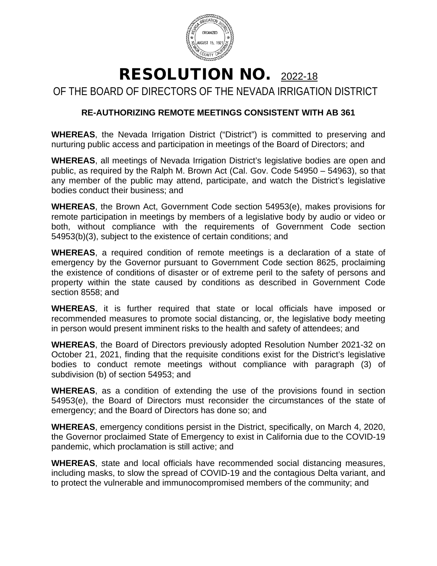

## RESOLUTION NO. 2022-18

OF THE BOARD OF DIRECTORS OF THE NEVADA IRRIGATION DISTRICT

### **RE-AUTHORIZING REMOTE MEETINGS CONSISTENT WITH AB 361**

**WHEREAS**, the Nevada Irrigation District ("District") is committed to preserving and nurturing public access and participation in meetings of the Board of Directors; and

**WHEREAS**, all meetings of Nevada Irrigation District's legislative bodies are open and public, as required by the Ralph M. Brown Act (Cal. Gov. Code 54950 – 54963), so that any member of the public may attend, participate, and watch the District's legislative bodies conduct their business; and

**WHEREAS**, the Brown Act, Government Code section 54953(e), makes provisions for remote participation in meetings by members of a legislative body by audio or video or both, without compliance with the requirements of Government Code section 54953(b)(3), subject to the existence of certain conditions; and

**WHEREAS**, a required condition of remote meetings is a declaration of a state of emergency by the Governor pursuant to Government Code section 8625, proclaiming the existence of conditions of disaster or of extreme peril to the safety of persons and property within the state caused by conditions as described in Government Code section 8558; and

**WHEREAS**, it is further required that state or local officials have imposed or recommended measures to promote social distancing, or, the legislative body meeting in person would present imminent risks to the health and safety of attendees; and

**WHEREAS**, the Board of Directors previously adopted Resolution Number 2021-32 on October 21, 2021, finding that the requisite conditions exist for the District's legislative bodies to conduct remote meetings without compliance with paragraph (3) of subdivision (b) of section 54953; and

**WHEREAS**, as a condition of extending the use of the provisions found in section 54953(e), the Board of Directors must reconsider the circumstances of the state of emergency; and the Board of Directors has done so; and

**WHEREAS**, emergency conditions persist in the District, specifically, on March 4, 2020, the Governor proclaimed State of Emergency to exist in California due to the COVID-19 pandemic, which proclamation is still active; and

**WHEREAS**, state and local officials have recommended social distancing measures, including masks, to slow the spread of COVID-19 and the contagious Delta variant, and to protect the vulnerable and immunocompromised members of the community; and